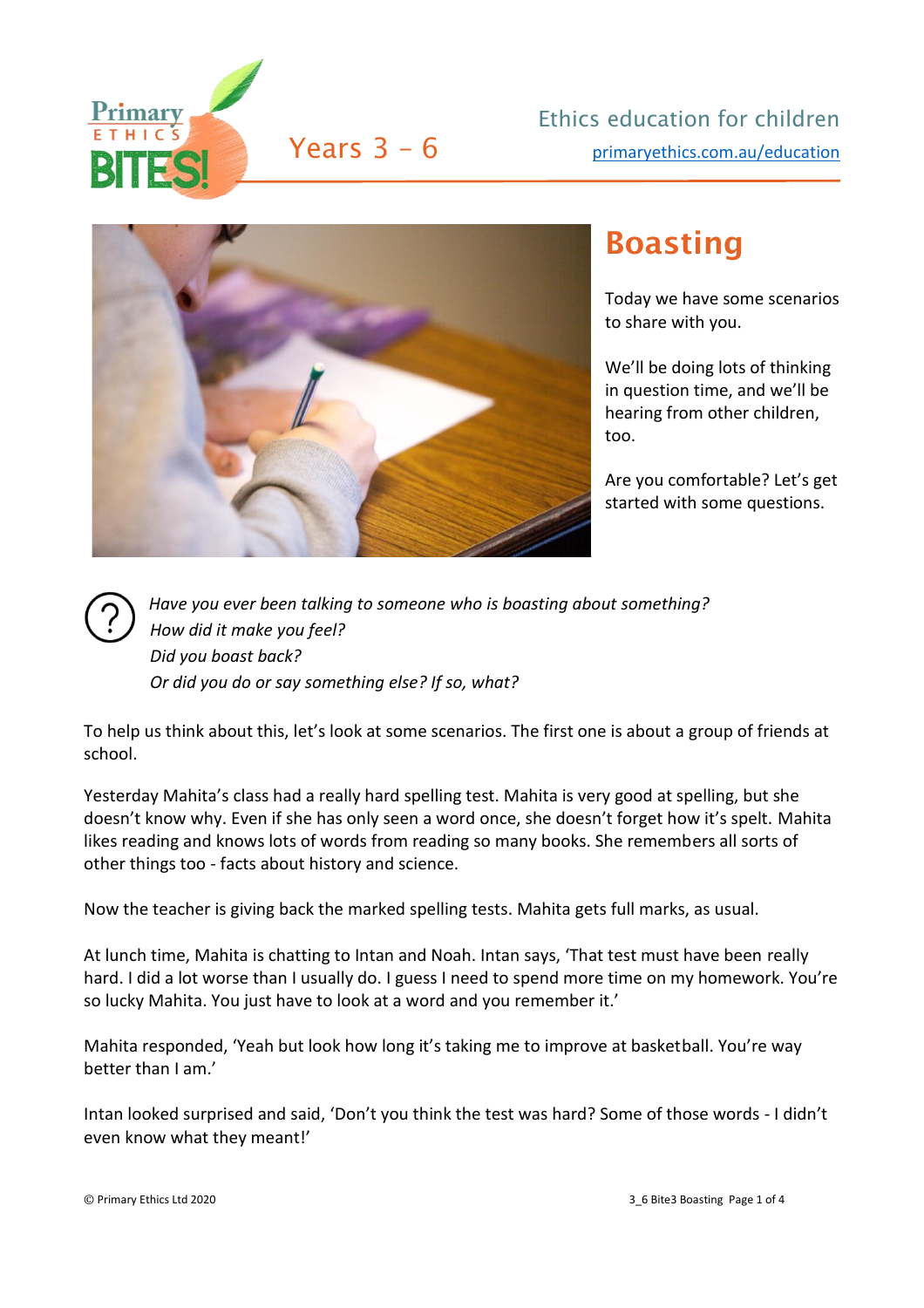



## Boasting

Today we have some scenarios to share with you.

We'll be doing lots of thinking in question time, and we'll be hearing from other children, too.

Are you comfortable? Let's get started with some questions.



*Have you ever been talking to someone who is boasting about something? How did it make you feel? Did you boast back? Or did you do or say something else? If so, what?*

To help us think about this, let's look at some scenarios. The first one is about a group of friends at school.

Yesterday Mahita's class had a really hard spelling test. Mahita is very good at spelling, but she doesn't know why. Even if she has only seen a word once, she doesn't forget how it's spelt. Mahita likes reading and knows lots of words from reading so many books. She remembers all sorts of other things too - facts about history and science.

Now the teacher is giving back the marked spelling tests. Mahita gets full marks, as usual.

At lunch time, Mahita is chatting to Intan and Noah. Intan says, 'That test must have been really hard. I did a lot worse than I usually do. I guess I need to spend more time on my homework. You're so lucky Mahita. You just have to look at a word and you remember it.'

Mahita responded, 'Yeah but look how long it's taking me to improve at basketball. You're way better than I am.'

Intan looked surprised and said, 'Don't you think the test was hard? Some of those words - I didn't even know what they meant!'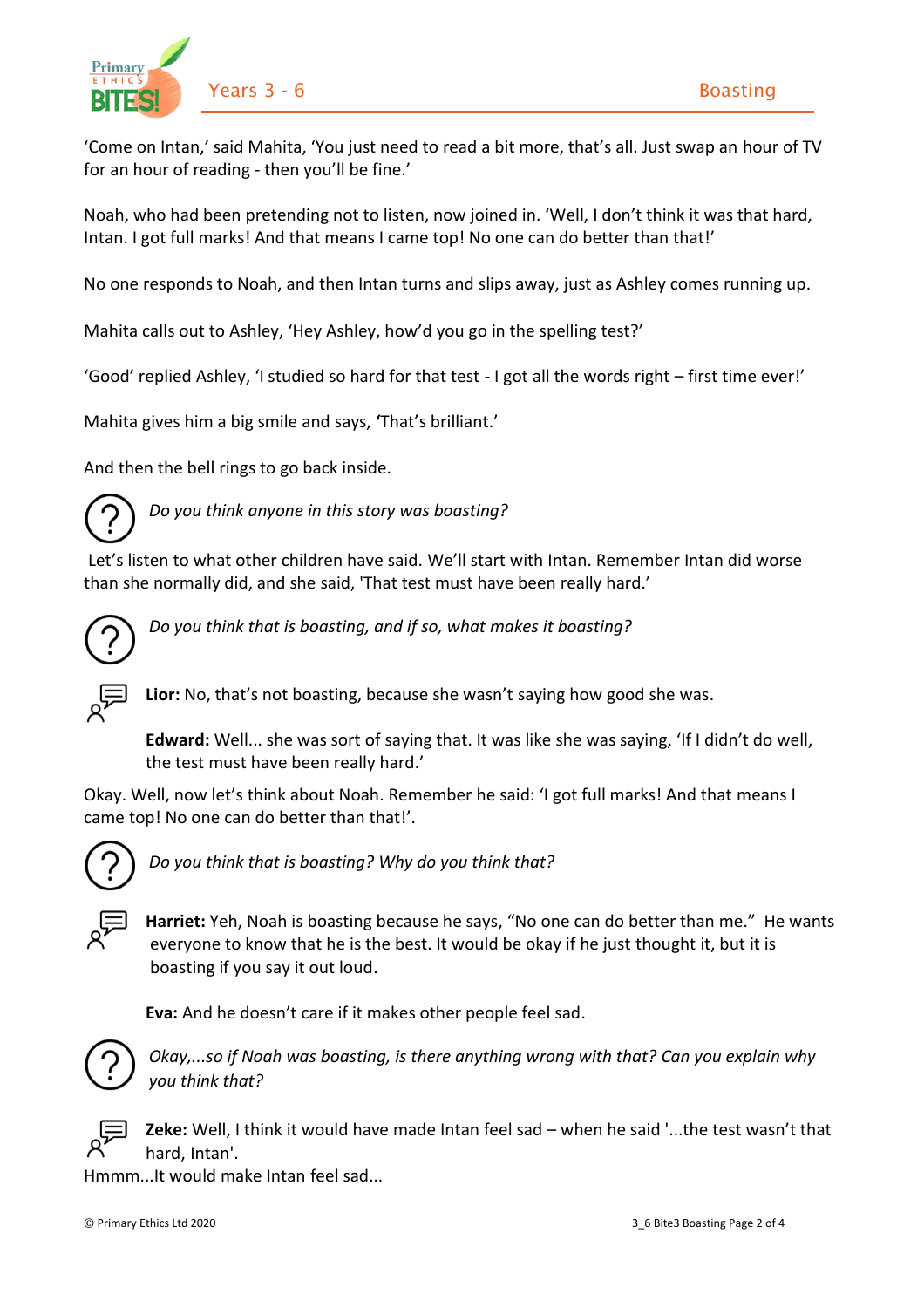

'Come on Intan,' said Mahita, 'You just need to read a bit more, that's all. Just swap an hour of TV for an hour of reading - then you'll be fine.'

Noah, who had been pretending not to listen, now joined in. 'Well, I don't think it was that hard, Intan. I got full marks! And that means I came top! No one can do better than that!'

No one responds to Noah, and then Intan turns and slips away, just as Ashley comes running up.

Mahita calls out to Ashley, 'Hey Ashley, how'd you go in the spelling test?'

'Good' replied Ashley, 'I studied so hard for that test - I got all the words right – first time ever!'

Mahita gives him a big smile and says, **'**That's brilliant.'

And then the bell rings to go back inside.



*Do you think anyone in this story was boasting?*

Let's listen to what other children have said. We'll start with Intan. Remember Intan did worse than she normally did, and she said, 'That test must have been really hard.'



*Do you think that is boasting, and if so, what makes it boasting?*



**Lior:** No, that's not boasting, because she wasn't saying how good she was.

**Edward:** Well... she was sort of saying that. It was like she was saying, 'If I didn't do well, the test must have been really hard.'

Okay. Well, now let's think about Noah. Remember he said: 'I got full marks! And that means I came top! No one can do better than that!'*.*



*Do you think that is boasting? Why do you think that?*



**Harriet:** Yeh, Noah is boasting because he says, "No one can do better than me." He wants everyone to know that he is the best. It would be okay if he just thought it, but it is boasting if you say it out loud.

**Eva:** And he doesn't care if it makes other people feel sad.



*Okay,...so if Noah was boasting, is there anything wrong with that? Can you explain why you think that?*



**Zeke:** Well, I think it would have made Intan feel sad – when he said '...the test wasn't that hard, Intan'.

Hmmm...It would make Intan feel sad...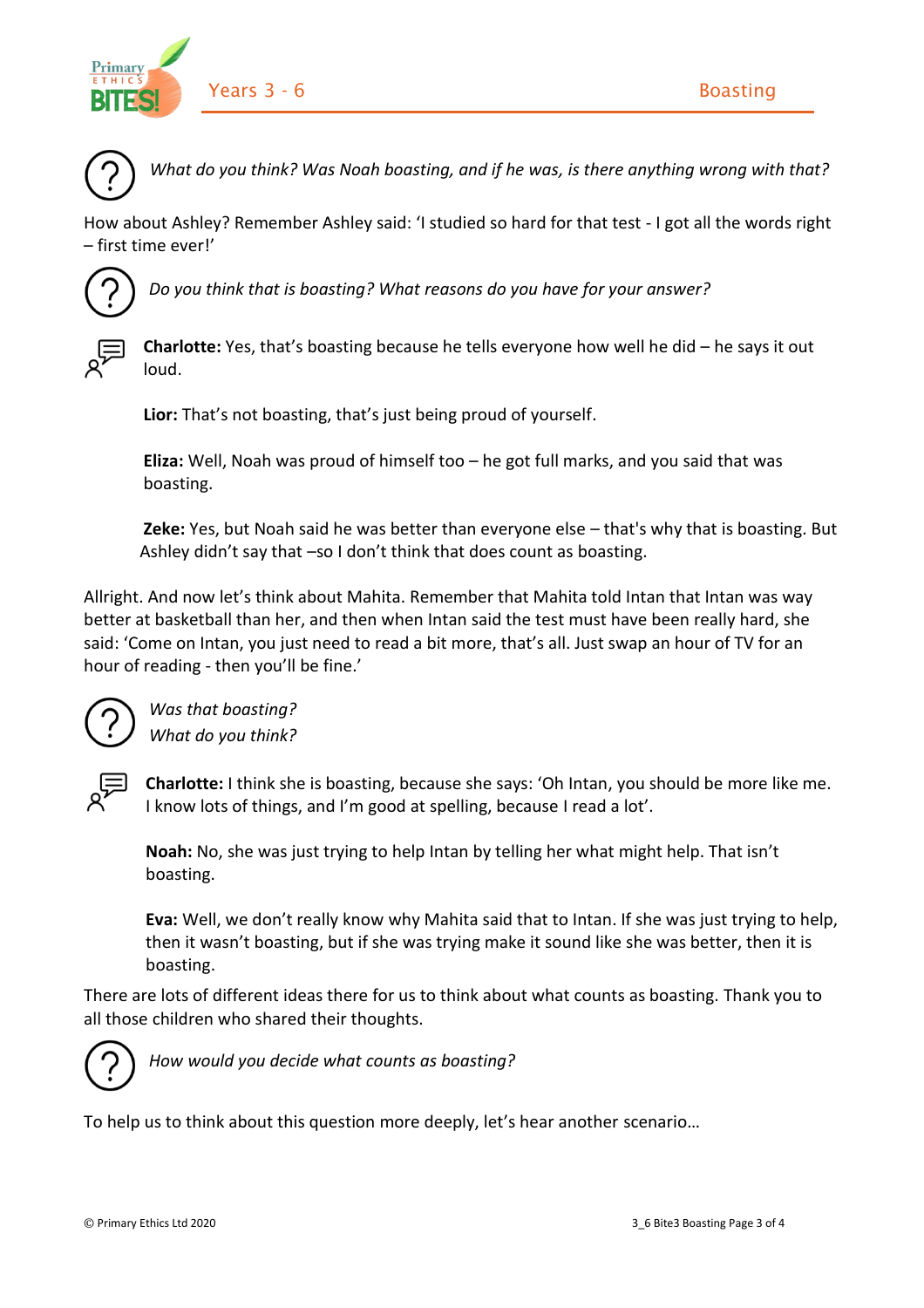



*What do you think? Was Noah boasting, and if he was, is there anything wrong with that?*

How about Ashley? Remember Ashley said: 'I studied so hard for that test - I got all the words right – first time ever!'



*Do you think that is boasting? What reasons do you have for your answer?*



**Charlotte:** Yes, that's boasting because he tells everyone how well he did – he says it out loud.

**Lior:** That's not boasting, that's just being proud of yourself.

**Eliza:** Well, Noah was proud of himself too – he got full marks, and you said that was boasting.

**Zeke:** Yes, but Noah said he was better than everyone else – that's why that is boasting. But Ashley didn't say that –so I don't think that does count as boasting.

Allright. And now let's think about Mahita. Remember that Mahita told Intan that Intan was way better at basketball than her, and then when Intan said the test must have been really hard, she said: 'Come on Intan, you just need to read a bit more, that's all. Just swap an hour of TV for an hour of reading - then you'll be fine.'



*Was that boasting? What do you think?*



**Charlotte:** I think she is boasting, because she says: 'Oh Intan, you should be more like me. I know lots of things, and I'm good at spelling, because I read a lot'.

**Noah:** No, she was just trying to help Intan by telling her what might help. That isn't boasting.

**Eva:** Well, we don't really know why Mahita said that to Intan. If she was just trying to help, then it wasn't boasting, but if she was trying make it sound like she was better, then it is boasting.

There are lots of different ideas there for us to think about what counts as boasting. Thank you to all those children who shared their thoughts.



*How would you decide what counts as boasting?*

To help us to think about this question more deeply, let's hear another scenario…